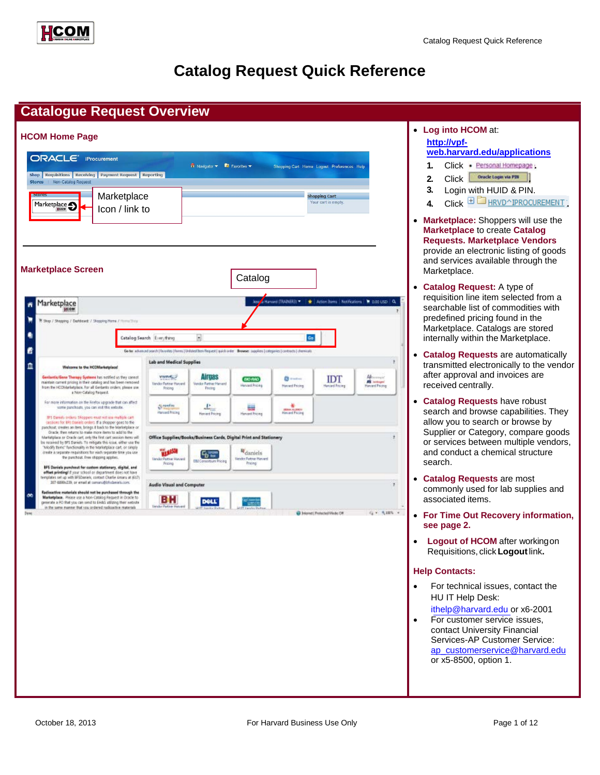



# **Catalog Request Quick Reference**

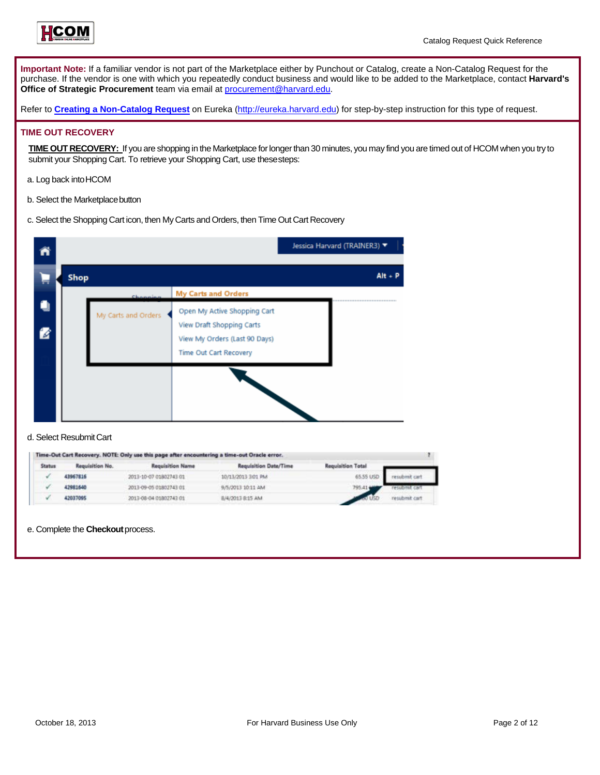

**Important Note:** If a familiar vendor is not part of the Marketplace either by Punchout or Catalog, create a Non-Catalog Request for the purchase. If the vendor is one with which you repeatedly conduct business and would like to be added to the Marketplace, contact **Harvard's Office of Strategic Procurement** team via email a[t procurement@harvard.edu.](mailto:procurement@harvard.edu)

Refer to **[Creating a Non-Catalog Request](http://eureka.harvard.edu/eureka/getDocument.cfm?id=630&sAppID=6)** on Eurek[a \(http://eureka.harvard.edu\)](http://eureka.harvard.edu/) for step-by-step instruction for this type of request.

### **TIME OUT RECOVERY**

**TIME OUT RECOVERY:** If you are shopping in the Marketplace forlongerthan 30 minutes, you may find you are timed out of HCOM when you try to submit your Shopping Cart. To retrieve your Shopping Cart, use these steps:

- a. Log back intoHCOM
- b. Select the Marketplace button
- c. Select the Shopping Cart icon, then My Carts and Orders, then Time Out Cart Recovery



| Status | Requisition No. | Requisition Name       | Requisition Date/Time | <b>Requisition Total</b> |               |
|--------|-----------------|------------------------|-----------------------|--------------------------|---------------|
|        | 43967816        | 2013-10-07 01802743 01 | 10/13/2013 3:01 PM    | 65.55 USD                |               |
|        | 42981540        | 2013-09-05 01802743 01 | 9/5/2013 10:11 AM     |                          | bmit cart     |
|        | 42037095        | 2013-08-04 01802743 01 | 8/4/2013 8:15 AM      |                          | resubmit cart |

e. Complete the **Checkout**process.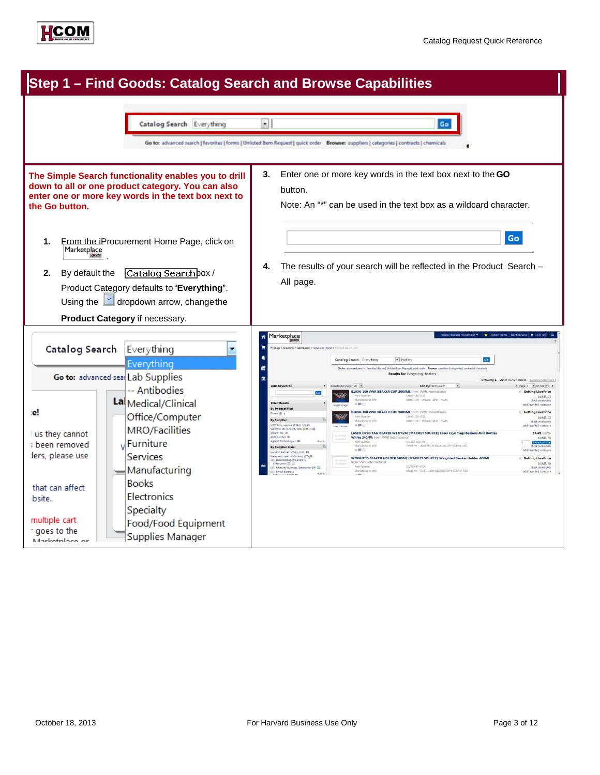

|                                                                                                                                                                                                                                                                                                                                                                                                                                         | Step 1 - Find Goods: Catalog Search and Browse Capabilities                                |                                                                                                                                                                                                                                                                                                         |                                                                                                                                                                                                                                                                                                                                                                                                                                                                           |                                                                                                                                                                                          |
|-----------------------------------------------------------------------------------------------------------------------------------------------------------------------------------------------------------------------------------------------------------------------------------------------------------------------------------------------------------------------------------------------------------------------------------------|--------------------------------------------------------------------------------------------|---------------------------------------------------------------------------------------------------------------------------------------------------------------------------------------------------------------------------------------------------------------------------------------------------------|---------------------------------------------------------------------------------------------------------------------------------------------------------------------------------------------------------------------------------------------------------------------------------------------------------------------------------------------------------------------------------------------------------------------------------------------------------------------------|------------------------------------------------------------------------------------------------------------------------------------------------------------------------------------------|
|                                                                                                                                                                                                                                                                                                                                                                                                                                         | Catalog Search Everything                                                                  | $\bullet$                                                                                                                                                                                                                                                                                               | Go<br>Go to: advanced search   favorites   forms   Unlisted Item Request   quick order Browse: suppliers   categories   contracts   chemicals                                                                                                                                                                                                                                                                                                                             |                                                                                                                                                                                          |
| The Simple Search functionality enables you to drill<br>down to all or one product category. You can also<br>enter one or more key words in the text box next to<br>the Go button.<br>From the iProcurement Home Page, click on<br>1.<br>Marketplace<br>Catalog Searchbox/<br>By default the<br>2.<br>Product Category defaults to "Everything".<br>Using the $\mathbf{v}$ dropdown arrow, change the<br>Product Category if necessary. |                                                                                            | З.<br>button.                                                                                                                                                                                                                                                                                           | Enter one or more key words in the text box next to the GO<br>Note: An "*" can be used in the text box as a wildcard character.                                                                                                                                                                                                                                                                                                                                           | Go                                                                                                                                                                                       |
|                                                                                                                                                                                                                                                                                                                                                                                                                                         |                                                                                            | 4.<br>All page.                                                                                                                                                                                                                                                                                         | The results of your search will be reflected in the Product Search -                                                                                                                                                                                                                                                                                                                                                                                                      |                                                                                                                                                                                          |
| Catalog Search                                                                                                                                                                                                                                                                                                                                                                                                                          | Everything<br>Everything                                                                   | Marketplace<br>ñ<br>Hoow<br>Shep / Shepping / Dackboard: / Shopping Home / Protect South                                                                                                                                                                                                                | a Huvard (TRANERS) * * * Action Bens   Notifications   * 0.00 USD   Q<br>Catalog Search Everything<br>· beakers<br>Ge for advanced search (Revention) Sommit United Barn Request (I quick order Browser suppliers) celegaries ( contracts) chemical<br>Results for: Everything : beakers                                                                                                                                                                                  |                                                                                                                                                                                          |
|                                                                                                                                                                                                                                                                                                                                                                                                                                         | Go to: advanced sea Lab Supplies<br>-- Antibodies                                          | 血<br><b>Add Keywords</b>                                                                                                                                                                                                                                                                                | 7 Neutripe page 20 P<br>Sort by: Gest Match                                                                                                                                                                                                                                                                                                                                                                                                                               | Showing 1 - 20 of 3142 results - Compani Solution #<br>fillings 1 = at 150 m 1                                                                                                           |
|                                                                                                                                                                                                                                                                                                                                                                                                                                         | La Medical/Clinical                                                                        | <b>Gaz</b><br><b>Ther Results</b>                                                                                                                                                                                                                                                                       | <b>B1000-100 VWR BEAKER CUP 1000ML</b> from VWR International<br>Kart Narisber<br>12016-150 (CS)<br>Manufacturer John<br>81000-100 - Private Libel - VAVI<br>$m$ 53 (1)                                                                                                                                                                                                                                                                                                   | <b>C. Getting LivePrice</b><br>JUNE CS<br>check availability                                                                                                                             |
| е!                                                                                                                                                                                                                                                                                                                                                                                                                                      | Office/Computer                                                                            | By Product Flag<br>A ID rowell<br>By Supplier<br>WIll Eternational (L141) 105 BR                                                                                                                                                                                                                        | B1000-100 VWR BEAKER CUP 1000ML from VWR International<br><b>Eart Normber</b><br>42045-150 (CS)<br>Mandacturer Info:<br>81000-100 - Wivenstabel - VWIS<br>当期の                                                                                                                                                                                                                                                                                                             | add favorite   compare<br><b>C. Getting LivePrice</b><br>JUNIT, CS<br>chart available<br>add favorite   compan                                                                           |
| us they cannot<br>; been removed<br>lers, please use                                                                                                                                                                                                                                                                                                                                                                                    | <b>MRO/Facilities</b><br><b>J</b> Furniture<br><b>Services</b><br>Manufacturing            | Vestmet, Dec 2573 und 1010, 00103 03100<br>cam 3H. (1)<br>ED Serotec (II)<br>gilent Technologies (4)<br>By Supplier Class<br>ndor Partner: VWR (List)) \$3<br>referred vendor: Corning (\$7) 88<br>AT) Disadvartaged Eusiness<br>Enterprise (57)<br>ATI Minority Business Britains<br>Ti Small Basiness | LASER CRYO TAG BEAKER WT PK240 [MARKET SOURCE] Laser Cryo Tags Beakers And Bottles<br>White 240/Pk from VWR International<br>101413-042-7901<br><b>Fart Number</b><br>Manufacturer tofo<br>71988 W · IELECTRON MICROSCOPY SCENCIAS)<br>99.322(3)<br>WEIGHTED BEAKER HOLDER GOOML [MARKET SOURCE] Weighted Beaker Holder GOOM!<br>from VWR International<br>100093-474 (64)<br><b>Part Number</b><br>Manufacturer lists<br><b>BALLE OF - IRECTRON MICROSCOPY SCRNC MSL</b> | \$7.45 (10.5)<br><b>JUNIT, PK</b><br>1 Milleton V<br>helt availabili<br>add favorite   compan<br><b>C</b> Getting LivePrice<br>JUNIT, EA<br>check availability<br>add favorite   compare |
| that can affect<br>bsite.<br>multiple cart<br>t goes to the<br>Marketplace or                                                                                                                                                                                                                                                                                                                                                           | <b>Books</b><br>Electronics<br>Specialty<br>Food/Food Equipment<br><b>Supplies Manager</b> |                                                                                                                                                                                                                                                                                                         |                                                                                                                                                                                                                                                                                                                                                                                                                                                                           |                                                                                                                                                                                          |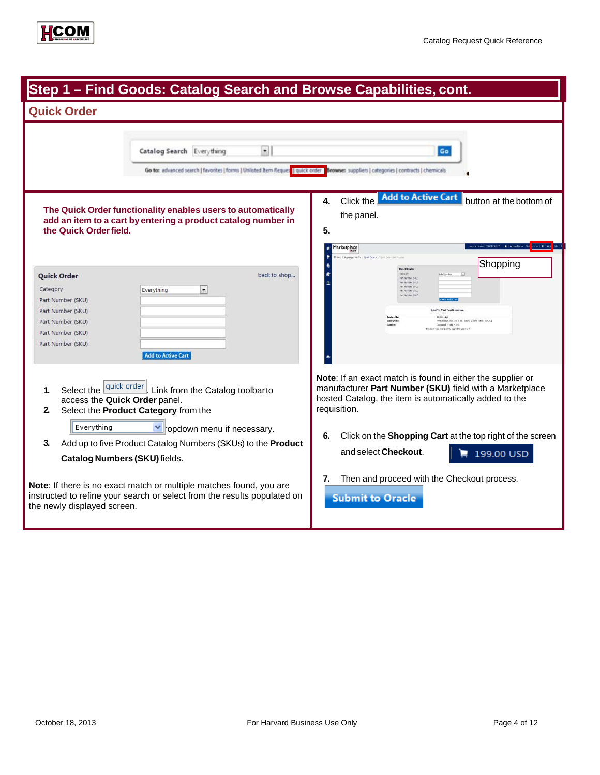

| Step 1 - Find Goods: Catalog Search and Browse Capabilities, cont.                                                                                                                                                        |                                                                                                                                                                                                                                                              |  |
|---------------------------------------------------------------------------------------------------------------------------------------------------------------------------------------------------------------------------|--------------------------------------------------------------------------------------------------------------------------------------------------------------------------------------------------------------------------------------------------------------|--|
| <b>Quick Order</b>                                                                                                                                                                                                        |                                                                                                                                                                                                                                                              |  |
| $\bullet$<br>Catalog Search Everything<br>Go to: advanced search   favorites   forms   Unlisted Item Reques   quick order   Browses suppliers   categories   contracts   chemicals                                        | Go                                                                                                                                                                                                                                                           |  |
| The Quick Order functionality enables users to automatically<br>add an item to a cart by entering a product catalog number in<br>the Quick Order field.                                                                   | <b>Add to Active Cart</b><br>Click the<br>button at the bottom of<br>4.<br>the panel.<br>5.<br>Marketplace                                                                                                                                                   |  |
| back to shop<br><b>Quick Order</b><br>$\vert \cdot \vert$<br>Category<br>Everything<br>Part Number (SKU)<br>Part Number (SKU)<br>Part Number (SKU)<br>Part Number (SKU)<br>Part Number (SKU)<br><b>Add to Active Cart</b> | Shopping<br>Oulek Or<br><b>Not Namber (SES)</b><br>Fact Number (SKL)<br>art Navider (Skl)<br>Add To Cart Co<br>034936 (1g)<br>Catalog No.<br>Methanesalfonic acid 5-Boz-amino-perzyl estec>95%.1g<br>Oaksport Fredam, Inc.<br>successfully added to your car |  |
| Select the duick order<br>Link from the Catalog toolbarto<br>1.<br>access the Quick Order panel.<br>2.<br>Select the Product Category from the<br>Everything<br>▼ ropdown menu if necessary.                              | <b>Note:</b> If an exact match is found in either the supplier or<br>manufacturer Part Number (SKU) field with a Marketplace<br>hosted Catalog, the item is automatically added to the<br>requisition.                                                       |  |
| 3.<br>Add up to five Product Catalog Numbers (SKUs) to the Product<br>Catalog Numbers (SKU) fields.                                                                                                                       | Click on the Shopping Cart at the top right of the screen<br>6.<br>and select Checkout.<br>199.00 USD                                                                                                                                                        |  |
| Note: If there is no exact match or multiple matches found, you are<br>instructed to refine your search or select from the results populated on<br>the newly displayed screen.                                            | Then and proceed with the Checkout process.<br>7.<br><b>Submit to Oracle</b>                                                                                                                                                                                 |  |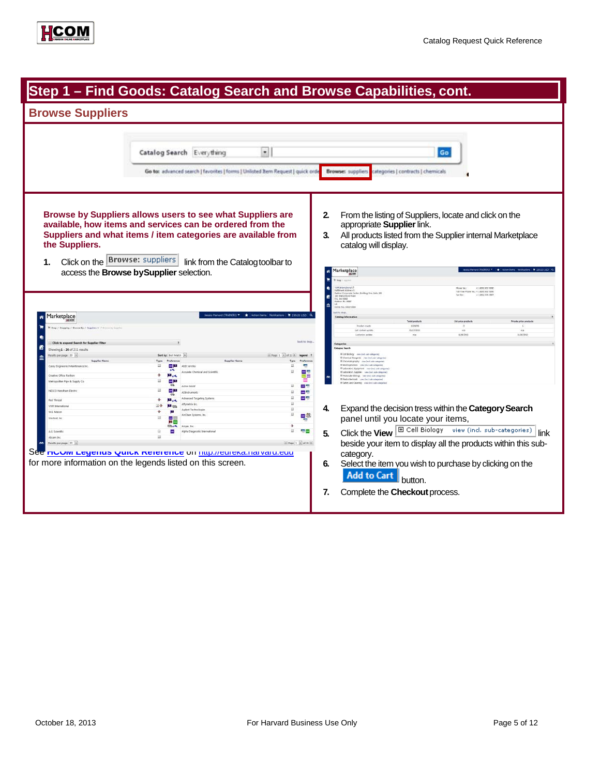| Step 1 – Find Goods: Catalog Search and Browse Capabilities, cont.                                                                                                                                                                                                                                                                                  |                                                                                                                                                                                                                                                                                                                                                                                                                                                                                                                                                                                                 |                                                                                                                                                                                                                                                                                                                                                                                                                                                                                                                                                                                                                                                                                                                                                                                                                                                                                                                                                 |
|-----------------------------------------------------------------------------------------------------------------------------------------------------------------------------------------------------------------------------------------------------------------------------------------------------------------------------------------------------|-------------------------------------------------------------------------------------------------------------------------------------------------------------------------------------------------------------------------------------------------------------------------------------------------------------------------------------------------------------------------------------------------------------------------------------------------------------------------------------------------------------------------------------------------------------------------------------------------|-------------------------------------------------------------------------------------------------------------------------------------------------------------------------------------------------------------------------------------------------------------------------------------------------------------------------------------------------------------------------------------------------------------------------------------------------------------------------------------------------------------------------------------------------------------------------------------------------------------------------------------------------------------------------------------------------------------------------------------------------------------------------------------------------------------------------------------------------------------------------------------------------------------------------------------------------|
| <b>Browse Suppliers</b>                                                                                                                                                                                                                                                                                                                             |                                                                                                                                                                                                                                                                                                                                                                                                                                                                                                                                                                                                 |                                                                                                                                                                                                                                                                                                                                                                                                                                                                                                                                                                                                                                                                                                                                                                                                                                                                                                                                                 |
|                                                                                                                                                                                                                                                                                                                                                     | Catalog Search Everything<br>$\bullet$<br>Go to: advanced search   favorites   forms   Unlisted Item Request   quick orde                                                                                                                                                                                                                                                                                                                                                                                                                                                                       | Go<br><b>Browse:</b> suppliers<br>categories   contracts   chemicals                                                                                                                                                                                                                                                                                                                                                                                                                                                                                                                                                                                                                                                                                                                                                                                                                                                                            |
| the Suppliers.<br>Click on the <b>Browse:</b> suppliers<br>1.<br>access the Browse by Supplier selection.                                                                                                                                                                                                                                           | Browse by Suppliers allows users to see what Suppliers are<br>available, how items and services can be ordered from the<br>Suppliers and what items / item categories are available from<br>link from the Catalog toolbar to                                                                                                                                                                                                                                                                                                                                                                    | 2.<br>From the listing of Suppliers, locate and click on the<br>appropriate Supplier link.<br>All products listed from the Supplier internal Marketplace<br>3.<br>catalog will display.<br>Marketplace<br>VM International <i>ID</i><br>affilment Aischers II<br>ladinne Cerporale Center, Beikling One, Suite 200<br>00 Matsonford Road<br>٠<br>+1 (800) 932-5000<br>Disea No.<br>Toll Free Phone Fig.: +1 (000) 932-5000<br>+1 (866) 320-2897                                                                                                                                                                                                                                                                                                                                                                                                                                                                                                 |
| Marketplace<br>R Shop J Shopping / Browse By: / Suppliers w / Brown by Son                                                                                                                                                                                                                                                                          |                                                                                                                                                                                                                                                                                                                                                                                                                                                                                                                                                                                                 | B<br>$0.01$ Bry (VW)<br>advor, RA 19357<br>$\square$<br><b>DURAT NA - OASTTTGAA</b><br>S.to shop<br>$\blacksquare$ 199.00 USD $\blacksquare$<br><b>Catalog Informs</b><br><b>Total products</b><br>List price product<br>Private price products<br>Product counts<br>1005036<br>$\epsilon$<br>List context unitary<br><b>INSTANCE</b><br>$\overline{a}$<br><b>NW</b><br>Last price update<br>8.08.0012<br>11/20/2012                                                                                                                                                                                                                                                                                                                                                                                                                                                                                                                            |
| <b>Click to expand Search for Supplier Filter</b><br>Showing 1 - 20 of 211 results                                                                                                                                                                                                                                                                  |                                                                                                                                                                                                                                                                                                                                                                                                                                                                                                                                                                                                 | lasck to shop.<br>Cetegories<br><b>Istogory Search</b>                                                                                                                                                                                                                                                                                                                                                                                                                                                                                                                                                                                                                                                                                                                                                                                                                                                                                          |
| esets per page 20                                                                                                                                                                                                                                                                                                                                   |                                                                                                                                                                                                                                                                                                                                                                                                                                                                                                                                                                                                 | IE Cell Biology - view (ext. sale colegaries<br>altuge 1 alutas a legend ?<br>IS Chamical Reagants view (rect sub-categories                                                                                                                                                                                                                                                                                                                                                                                                                                                                                                                                                                                                                                                                                                                                                                                                                    |
| <b>Supplier Nam</b><br>Casey Engineered Maintenance Inc.<br><b>Creative Office Savings</b><br>Nwtropolitan Pipe & Supply Co<br>NESCO Needham Electric<br>Red Thread<br><b>VWII Internations</b><br>W.R. Masze<br>Westmat, the<br>AG Scientific<br>Abcam Inc.<br>Nesalts per page 20 +<br>for more information on the legends listed on this screen. | Professors<br><b>Supplier Name</b><br>mail 1<br>ABD Serieted<br>uk.<br>Arrunda Chamical and Scientific<br>$\theta$<br><b>Mark</b><br>m<br>田田<br><b>EB</b><br>Active Month<br>ш<br>m <sub>1</sub><br>Attronuments<br>Advanced Targeting Systems<br>$\ddot{a}$<br><b>Blue</b><br>Affordabric line<br><b>All</b> on<br>山小<br>Aplent Technologies<br>B.<br>ArClean Systems, Inc.<br>囸<br><b>market</b><br>$\mathbf{H}$<br><b>EBurk</b><br>Airgan, Inc.<br>Ŧ<br>m.<br>Alpha Diagnostic International<br>$\overline{1}$<br>See <b>nuum Legenas warck Reference</b> on <u>nup.//eureka.narvaru.euu</u> | Il chronatography view (est sale compress)<br>Preference<br>If Electrophorests view lited sub-categories<br>Ш<br>帶<br>IX Laboratory Equipment in an lexit sub-categor<br>m<br>Ŧ<br>If Laboratory Supplies - year Snd, cab-censaries<br>Il Molecular Biology view Incl. sub-categories<br>If Radiochersizak view (extra-subspace)<br>If Safety and Cleaning view (not sub<br>世間<br>ш<br>ш<br><b>COLOR</b><br>m<br>and App<br>w<br>Expand the decision tress within the Category Search<br>4.<br>$\overline{\omega}$<br>ш<br>몇<br>panel until you locate your items,<br>$\ddot{\phantom{a}}$<br>Click the View <b>E</b> Cell Biology view (incl. sub-categories)<br>œ<br>春田<br>5.<br>link<br>$n$ Page $1 - n$ of $11 + n$<br>beside your item to display all the products within this sub-<br>category.<br>Select the item you wish to purchase by clicking on the<br>6.<br><b>Add to Cart</b><br>button.<br>7.<br>Complete the Checkout process. |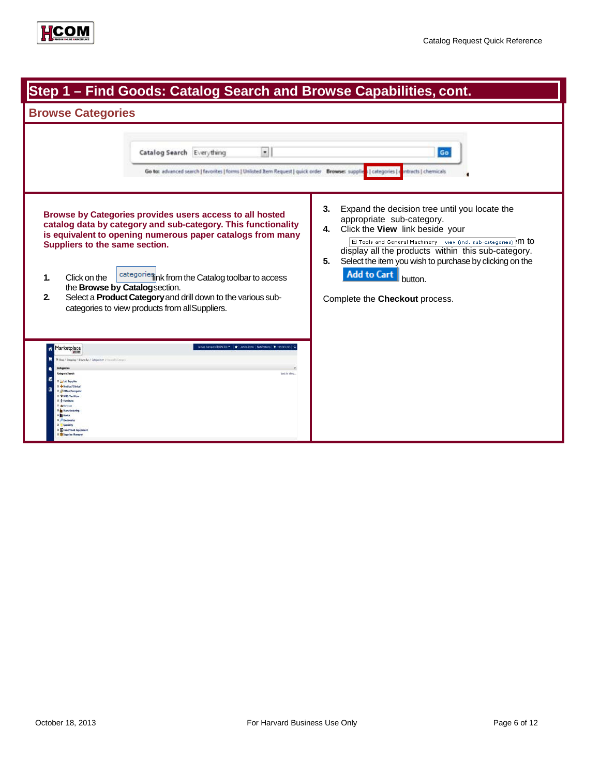

| Step 1 - Find Goods: Catalog Search and Browse Capabilities, cont.                                                                                                                                                                                                                                                                                                                                                                                                        |                                                                                                                                                                                                                                                                                                                                  |  |
|---------------------------------------------------------------------------------------------------------------------------------------------------------------------------------------------------------------------------------------------------------------------------------------------------------------------------------------------------------------------------------------------------------------------------------------------------------------------------|----------------------------------------------------------------------------------------------------------------------------------------------------------------------------------------------------------------------------------------------------------------------------------------------------------------------------------|--|
| <b>Browse Categories</b>                                                                                                                                                                                                                                                                                                                                                                                                                                                  |                                                                                                                                                                                                                                                                                                                                  |  |
| $\bullet$<br>Catalog Search Everything<br>Go to: advanced search   favorites   forms   Unlisted Item Request   quick order Browse: supplies   categories                                                                                                                                                                                                                                                                                                                  | Go<br>intracts   chemicals<br>Expand the decision tree until you locate the<br>3.                                                                                                                                                                                                                                                |  |
| Browse by Categories provides users access to all hosted<br>catalog data by category and sub-category. This functionality<br>is equivalent to opening numerous paper catalogs from many<br>Suppliers to the same section.<br>categories ink from the Catalog toolbar to access<br>Click on the<br>1.<br>the Browse by Catalog section.<br>Select a Product Category and drill down to the various sub-<br>$\mathbf{2}$<br>categories to view products from all Suppliers. | appropriate sub-category.<br>Click the View link beside your<br>4.<br>El Tools and General Machinery view (incl. sub-categories) IM to<br>display all the products within this sub-category.<br>Select the item you wish to purchase by clicking on the<br>5.<br><b>Add to Cart</b><br>button.<br>Complete the Checkout process. |  |
| Jessica Harvard (TRADVERS) ▼ → ★   Action Items   Notifications   ₩ 199.00 USD<br>Marketplace<br>up / Skaping / Brown by / Categories v. / Scouts by Citeyer)<br>back to shop.<br><b>Jetegory Search</b><br>a <b>di Brenis</b><br>D. <sup>27</sup> Specialty<br><b>De Fase/Food Equipment</b><br><b>Mitugelies Manage</b>                                                                                                                                                 |                                                                                                                                                                                                                                                                                                                                  |  |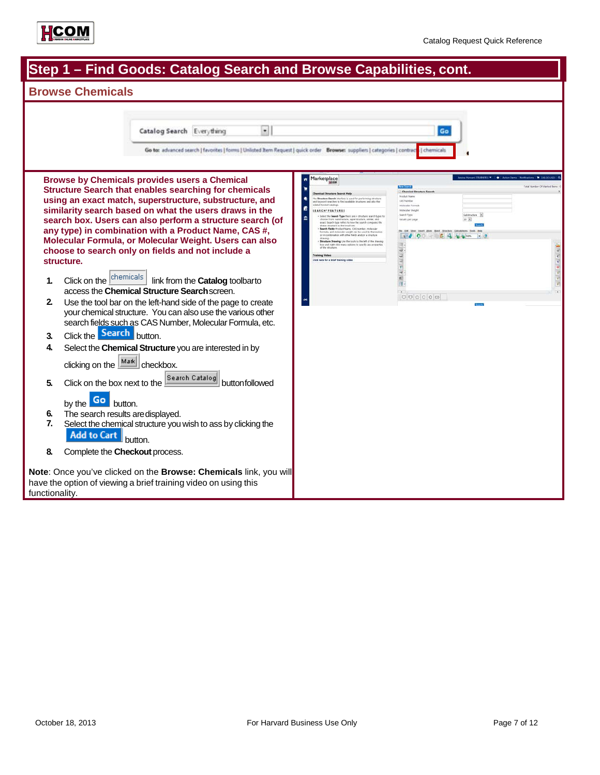

| Step 1 – Find Goods: Catalog Search and Browse Capabilities, cont.                                                                                                                                                                                                                                                                                                                                                                                                                                                                                                                                                                                                                                                                                                                                                                                                                                                                                                                                                                                                                                                           |                                                                                                                                                                                                                                                                                                                                                                                                                                                                                                                                                                                                                                                                                                                                                                                                                                                                                                                                                                                                                            |  |  |
|------------------------------------------------------------------------------------------------------------------------------------------------------------------------------------------------------------------------------------------------------------------------------------------------------------------------------------------------------------------------------------------------------------------------------------------------------------------------------------------------------------------------------------------------------------------------------------------------------------------------------------------------------------------------------------------------------------------------------------------------------------------------------------------------------------------------------------------------------------------------------------------------------------------------------------------------------------------------------------------------------------------------------------------------------------------------------------------------------------------------------|----------------------------------------------------------------------------------------------------------------------------------------------------------------------------------------------------------------------------------------------------------------------------------------------------------------------------------------------------------------------------------------------------------------------------------------------------------------------------------------------------------------------------------------------------------------------------------------------------------------------------------------------------------------------------------------------------------------------------------------------------------------------------------------------------------------------------------------------------------------------------------------------------------------------------------------------------------------------------------------------------------------------------|--|--|
| <b>Browse Chemicals</b>                                                                                                                                                                                                                                                                                                                                                                                                                                                                                                                                                                                                                                                                                                                                                                                                                                                                                                                                                                                                                                                                                                      |                                                                                                                                                                                                                                                                                                                                                                                                                                                                                                                                                                                                                                                                                                                                                                                                                                                                                                                                                                                                                            |  |  |
| $\bullet$<br>Catalog Search Everything<br>Go to: advanced search   favorites   forms   Unlisted Item Request   quick order Browse: suppliers   categories   contract<br><b>Browse by Chemicals provides users a Chemical</b><br><b>Structure Search that enables searching for chemicals</b><br>using an exact match, superstructure, substructure, and<br>similarity search based on what the users draws in the<br>search box. Users can also perform a structure search (of<br>any type) in combination with a Product Name, CAS #,<br>Molecular Formula, or Molecular Weight. Users can also<br>choose to search only on fields and not include a<br>structure.<br>Click on the chemicals<br>link from the Catalog toolbarto<br>1.<br>access the Chemical Structure Search screen.<br>2.<br>Use the tool bar on the left-hand side of the page to create<br>your chemical structure. You can also use the various other<br>search fields such as CAS Number, Molecular Formula, etc.<br>Click the Search button.<br>3.<br>4.<br>Select the Chemical Structure you are interested in by<br>clicking on the Mark checkbox. | Go<br>dhemicals<br>Marketplace<br>ñ<br>Chemical St<br>rical Structure Search Help<br><b>Rocket Nam</b><br>le Stratture Search interface is used for performing structure<br><b>CAS Paintier</b><br>rd searches to find available structures and also the<br>Molecular For<br>Molecular Weigh<br>SEARCH*PEATURES<br>sarch Type<br>detructure +<br>Solect the Search Type there are 4 structure search types<br>$20 - 16$<br>choose from substructure, superstructure, similar, and<br>exact. Search type refers to frow the search compares the<br>ketalts per pag<br>taux structure to the result out.<br>learch fields Product Name, CAS Hember, molecule<br>mula, and molecular weight can be used by themsels<br>ination with other fields and/or a structure<br>$1 - 4$ 0 $-1$ 6 6 6 6 m<br>Structure Drawing Use the tools to the left of the drawing<br>or and right click menu aptions to specify any preps<br>$\overline{\mathbf{w}}$<br>Training Video<br>Click here for a brief training video<br>$\overline{1}$ |  |  |
| Search Catalog<br>Click on the box next to the<br>5.<br>buttonfollowed                                                                                                                                                                                                                                                                                                                                                                                                                                                                                                                                                                                                                                                                                                                                                                                                                                                                                                                                                                                                                                                       |                                                                                                                                                                                                                                                                                                                                                                                                                                                                                                                                                                                                                                                                                                                                                                                                                                                                                                                                                                                                                            |  |  |
| by the Go button.<br>The search results are displayed.<br>6.<br>7.<br>Select the chemical structure you wish to ass by clicking the<br><b>Add to Cart</b><br>button.<br>8.<br>Complete the Checkout process.                                                                                                                                                                                                                                                                                                                                                                                                                                                                                                                                                                                                                                                                                                                                                                                                                                                                                                                 |                                                                                                                                                                                                                                                                                                                                                                                                                                                                                                                                                                                                                                                                                                                                                                                                                                                                                                                                                                                                                            |  |  |
| Note: Once you've clicked on the Browse: Chemicals link, you will<br>have the option of viewing a brief training video on using this<br>functionality.                                                                                                                                                                                                                                                                                                                                                                                                                                                                                                                                                                                                                                                                                                                                                                                                                                                                                                                                                                       |                                                                                                                                                                                                                                                                                                                                                                                                                                                                                                                                                                                                                                                                                                                                                                                                                                                                                                                                                                                                                            |  |  |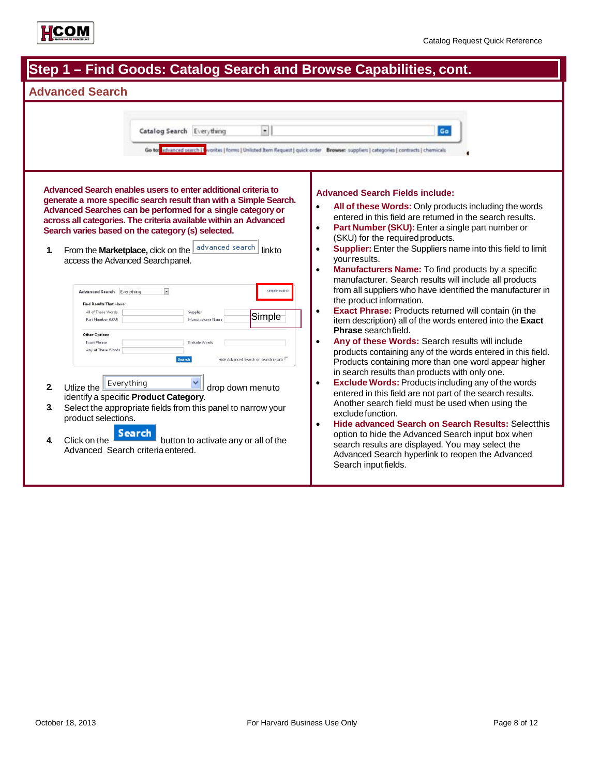

| Step 1 – Find Goods: Catalog Search and Browse Capabilities, cont.                                                                                                                                                                                                                                                                                                                                                                                                                                                                                                                                                                                                                                                                                                                                                                                                                                                                                                                                                                                                                       |                                                                                                                                                                                                                                                                                                                                                                                                                                                                                                                                                                                                                                                                                                                                                                                                                                                                                                                                                                                                                                                                                                                                                                                                                                                                                                                                                                                                                                                                      |  |
|------------------------------------------------------------------------------------------------------------------------------------------------------------------------------------------------------------------------------------------------------------------------------------------------------------------------------------------------------------------------------------------------------------------------------------------------------------------------------------------------------------------------------------------------------------------------------------------------------------------------------------------------------------------------------------------------------------------------------------------------------------------------------------------------------------------------------------------------------------------------------------------------------------------------------------------------------------------------------------------------------------------------------------------------------------------------------------------|----------------------------------------------------------------------------------------------------------------------------------------------------------------------------------------------------------------------------------------------------------------------------------------------------------------------------------------------------------------------------------------------------------------------------------------------------------------------------------------------------------------------------------------------------------------------------------------------------------------------------------------------------------------------------------------------------------------------------------------------------------------------------------------------------------------------------------------------------------------------------------------------------------------------------------------------------------------------------------------------------------------------------------------------------------------------------------------------------------------------------------------------------------------------------------------------------------------------------------------------------------------------------------------------------------------------------------------------------------------------------------------------------------------------------------------------------------------------|--|
| <b>Advanced Search</b>                                                                                                                                                                                                                                                                                                                                                                                                                                                                                                                                                                                                                                                                                                                                                                                                                                                                                                                                                                                                                                                                   |                                                                                                                                                                                                                                                                                                                                                                                                                                                                                                                                                                                                                                                                                                                                                                                                                                                                                                                                                                                                                                                                                                                                                                                                                                                                                                                                                                                                                                                                      |  |
| $\bullet$<br>Catalog Search Everything<br>Go to advanced search [1                                                                                                                                                                                                                                                                                                                                                                                                                                                                                                                                                                                                                                                                                                                                                                                                                                                                                                                                                                                                                       | Go<br>vorites   forms   Unlisted Item Request   quick order Browse: suppliers   categories   contracts   chemicals                                                                                                                                                                                                                                                                                                                                                                                                                                                                                                                                                                                                                                                                                                                                                                                                                                                                                                                                                                                                                                                                                                                                                                                                                                                                                                                                                   |  |
| Advanced Search enables users to enter additional criteria to<br>generate a more specific search result than with a Simple Search.<br>Advanced Searches can be performed for a single category or<br>across all categories. The criteria available within an Advanced<br>Search varies based on the category (s) selected.<br>advanced search<br>From the Marketplace, click on the<br>$\mathbf{1}$<br>linkto<br>access the Advanced Search panel.<br>$\bullet$<br>simple search<br>Advanced Search Everything<br><b>Find Results That Have</b><br>All of These Words<br>Supplier<br>Simple<br>Part Number (SKU)<br>Manufacturer Name<br><b>Other Options</b><br><b>Exact Phrase</b><br>Exclude Words<br>Any of These Words<br>Search<br>Hide Advanced Search on search results<br>Everything<br>2.<br>Utlize the<br>drop down menuto<br>identify a specific Product Category.<br>3.<br>Select the appropriate fields from this panel to narrow your<br>product selections.<br>Search<br>Click on the<br>button to activate any or all of the<br>4.<br>Advanced Search criteria entered. | <b>Advanced Search Fields include:</b><br>All of these Words: Only products including the words<br>entered in this field are returned in the search results.<br>Part Number (SKU): Enter a single part number or<br>$\bullet$<br>(SKU) for the required products.<br>Supplier: Enter the Suppliers name into this field to limit<br>$\bullet$<br>your results.<br><b>Manufacturers Name:</b> To find products by a specific<br>$\bullet$<br>manufacturer. Search results will include all products<br>from all suppliers who have identified the manufacturer in<br>the product information.<br><b>Exact Phrase:</b> Products returned will contain (in the<br>$\bullet$<br>item description) all of the words entered into the Exact<br><b>Phrase</b> search field.<br>Any of these Words: Search results will include<br>$\bullet$<br>products containing any of the words entered in this field.<br>Products containing more than one word appear higher<br>in search results than products with only one.<br><b>Exclude Words: Products including any of the words</b><br>$\bullet$<br>entered in this field are not part of the search results.<br>Another search field must be used when using the<br>exclude function.<br><b>Hide advanced Search on Search Results: Selectthis</b><br>$\bullet$<br>option to hide the Advanced Search input box when<br>search results are displayed. You may select the<br>Advanced Search hyperlink to reopen the Advanced |  |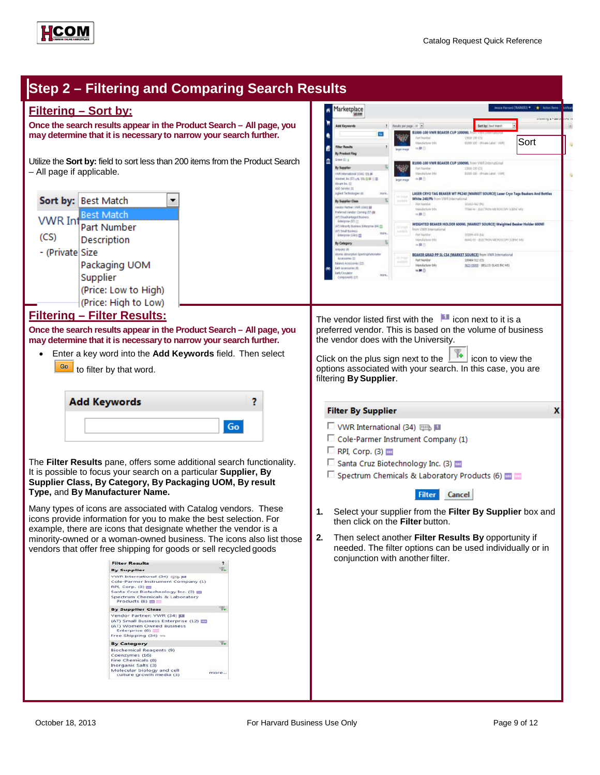110001001-19

1380-150 (CS)<br>81000-100 - (Private Lated - VWI)

LASER CRYO TAG BEAKER WT PK240 [MARKET SOURCE] Laser Cryo Tags Beakers And Bottle:

WEIGHTED BEAKER HOLDER 600ML (MARKET SOURCE) Weighted Beaker Holder 600ML

silan na

BEAKER GRAD PP SL CS4 [MARKET SOURCE] from VWR International

MAN - RECTRON MERORCON SODN' ME

MARTIN - JELECTRON MONORCHY SCRAC AR

SEES CROUD - BRILLCO GLASS INC MEL

**Sort** 

والهار

X



# **Step 2 – Filtering and Comparing Search Results**

## **Filtering – Sort by:**

**Once the search results appear in the Product Search – All page, you may determine that it is necessary to narrow your search further.**

Utilize the **Sort by:** field to sort less than 200 items from the Product Search – All page if applicable.



## **Filtering – Filter Results:**

**Once the search results appear in the Product Search – All page, you may determine that it is necessary to narrow your search further.**

• Enter a key word into the **Add Keywords** field. Then select  $\frac{G_0}{\sqrt{2}}$  to filter by that word.

| <b>Add Keywords</b> |  |
|---------------------|--|
| Gn.                 |  |

The **Filter Results** pane, offers some additional search functionality. It is possible to focus your search on a particular **Supplier, By Supplier Class, By Category, By Packaging UOM, By result Type,** and **By Manufacturer Name.**

Many types of icons are associated with Catalog vendors. These icons provide information for you to make the best selection. For example, there are icons that designate whether the vendor is a minority-owned or a woman-owned business. The icons also list those vendors that offer free shipping for goods or sell recycled goods



The vendor listed first with the  $\Box$  icon next to it is a preferred vendor. This is based on the volume of business the vendor does with the University.

Click on the plus sign next to the  $\boxed{1}$  icon to view the options associated with your search. In this case, you are filtering **BySupplier**.

#### **Filter By Supplier**

Marketplace

By Supplier

By Supplier Class

Minority Business Enter

r, norozey utarona<br>2) Senal Business<br>Enterpriso (1341) <mark>23</mark>

By Catagory

Diferentianal (1341) 1915 PF<br>ret, bz (57) <sub>197</sub>6, 1916 <mark>CF</mark> PF 13 CF

se Partner, VWR (1321) (1)<br>smed Vendor: Coming (17) (1)<br>Disadvantaged Business<br>faspine (17) (1)

ß By Product Flag  $\mathbf{r}$ 

**Reads per page 10 (m)** 

W

ūs

 $\overline{u}$ 

sa m

 $\rightarrow$ 

B1000-100 VWR BEAKER CUP 1000MI

1000-100 VWR BEAKER CUP 1000ML Nom VWR Inter

Mendeburer Into

 $-100$ 

 $m$ **B**<sup>(i)</sup>

adamarkan

Manufacturer Info **OM** 

- □ VWR International (34) BBS
- □ Cole-Parmer Instrument Company (1)
- $\Box$  RPI, Corp. (3)
- Santa Cruz Biotechnology Inc. (3)
- $\Box$  Spectrum Chemicals & Laboratory Products (6)  $\Box$

**Filter** Cancel

- **1.** Select your supplier from the **Filter By Supplier** box and then click on the **Filter** button.
- **2.** Then select another **Filter Results By** opportunity if needed. The filter options can be used individually or in conjunction with another filter.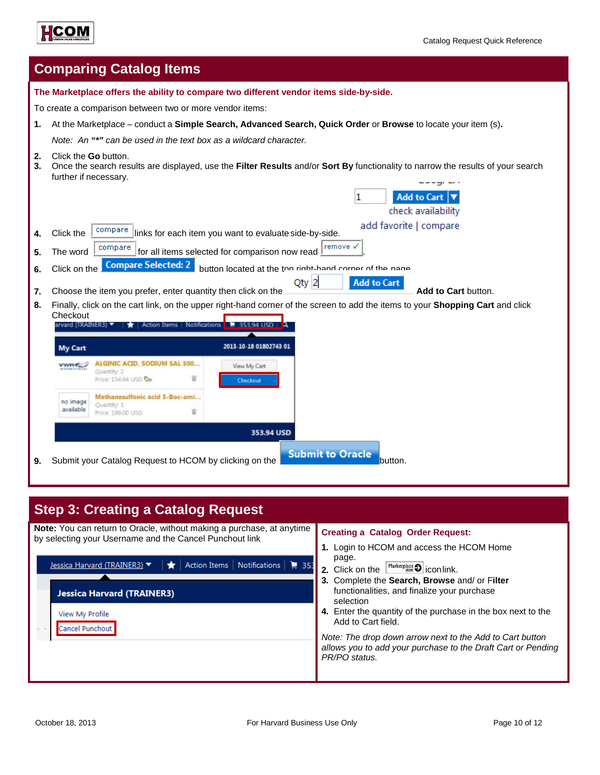



|          | <b>Comparing Catalog Items</b>                                                                                                                                                                                              |  |  |  |
|----------|-----------------------------------------------------------------------------------------------------------------------------------------------------------------------------------------------------------------------------|--|--|--|
|          | The Marketplace offers the ability to compare two different vendor items side-by-side.                                                                                                                                      |  |  |  |
|          | To create a comparison between two or more vendor items:                                                                                                                                                                    |  |  |  |
| 1.       | At the Marketplace - conduct a Simple Search, Advanced Search, Quick Order or Browse to locate your item (s).                                                                                                               |  |  |  |
|          | Note: An "*" can be used in the text box as a wildcard character.                                                                                                                                                           |  |  |  |
| 2.<br>3. | Click the <b>Go</b> button.<br>Once the search results are displayed, use the Filter Results and/or Sort By functionality to narrow the results of your search<br>further if necessary.                                     |  |  |  |
|          | <b>Add to Cart</b><br>1<br>check availability                                                                                                                                                                               |  |  |  |
| 4.       | add favorite   compare<br>compare<br>Click the<br>links for each item you want to evaluate side-by-side.                                                                                                                    |  |  |  |
| 5.       | remove v<br>compare<br>for all items selected for comparison now read<br>The word<br><b>Compare Selected: 2</b><br>button located at the top right-hand corner of the nane<br>Click on the<br>$Qty$ 2<br><b>Add to Cart</b> |  |  |  |
| 6.       |                                                                                                                                                                                                                             |  |  |  |
|          |                                                                                                                                                                                                                             |  |  |  |
| 7.       | Choose the item you prefer, enter quantity then click on the<br>Add to Cart button.                                                                                                                                         |  |  |  |
| 8.       | Finally, click on the cart link, on the upper right-hand corner of the screen to add the items to your Shopping Cart and click<br>Checkout<br>larvard (TRAINER3) ▼<br>Action Items   Notifications   7 353.94 USD           |  |  |  |
|          | 2013-10-18 01802743 01<br><b>My Cart</b>                                                                                                                                                                                    |  |  |  |
|          | ALGINIC ACID, SODIUM SAL 500<br><b>vwne</b><br>View My Cart<br>Quantity: 2<br>π<br>Price: 154.94 USD &<br>Checkout                                                                                                          |  |  |  |
|          | Methanesulfonic acid 5-Boc-ami<br>no image<br>Quantity: 1<br>available<br>Price: 199.00 USD                                                                                                                                 |  |  |  |
|          | 353.94 USD                                                                                                                                                                                                                  |  |  |  |
| 9.       | <b>Submit to Oracle</b><br>Submit your Catalog Request to HCOM by clicking on the<br>button.                                                                                                                                |  |  |  |

| <b>Step 3: Creating a Catalog Request</b>                                                                                                                                                                                                                                                  |                                                                                                                                                                                                                                                                                                                                                                                                                                                                                                                       |  |  |
|--------------------------------------------------------------------------------------------------------------------------------------------------------------------------------------------------------------------------------------------------------------------------------------------|-----------------------------------------------------------------------------------------------------------------------------------------------------------------------------------------------------------------------------------------------------------------------------------------------------------------------------------------------------------------------------------------------------------------------------------------------------------------------------------------------------------------------|--|--|
| <b>Note:</b> You can return to Oracle, without making a purchase, at anytime<br>by selecting your Username and the Cancel Punchout link<br>  Action Items   Notifications   255<br>Jessica Harvard (TRAINER3) ▼<br><b>Jessica Harvard (TRAINER3)</b><br>View My Profile<br>Cancel Punchout | <b>Creating a Catalog Order Request:</b><br>1. Login to HCOM and access the HCOM Home<br>page.<br>2. Click on the $\frac{\text{Market place}}{\text{max}}$ icon link.<br>3. Complete the Search, Browse and/ or Filter<br>functionalities, and finalize your purchase<br>selection<br>4. Enter the quantity of the purchase in the box next to the<br>Add to Cart field.<br>Note: The drop down arrow next to the Add to Cart button<br>allows you to add your purchase to the Draft Cart or Pending<br>PR/PO status. |  |  |
|                                                                                                                                                                                                                                                                                            |                                                                                                                                                                                                                                                                                                                                                                                                                                                                                                                       |  |  |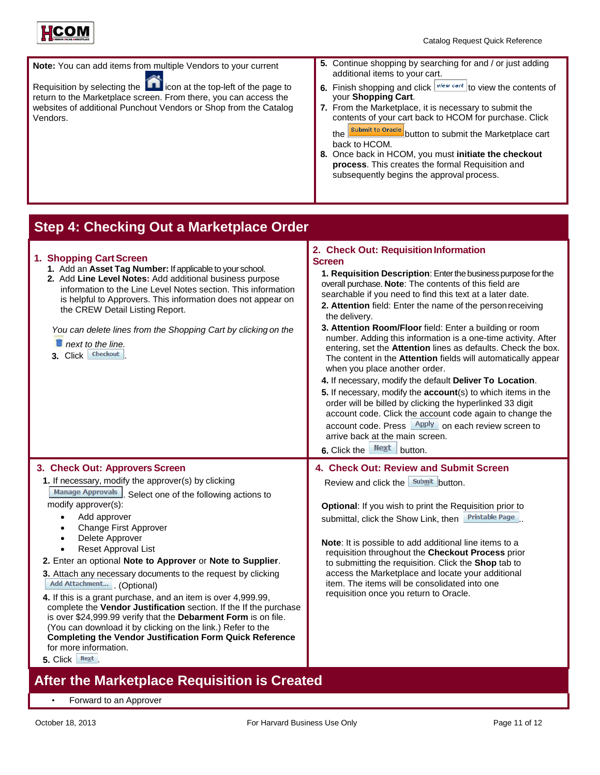



| <b>Note:</b> You can add items from multiple Vendors to your current |  |
|----------------------------------------------------------------------|--|
|                                                                      |  |

Requisition by selecting the  $\bigcap$  icon at the top-left of the page to return to the Marketplace screen. From there, you can access the websites of additional Punchout Vendors or Shop from the Catalog Vendors.

- **5.** Continue shopping by searching for and / or just adding additional items to your cart.
- **6.** Finish shopping and click  $\sqrt{\frac{view\ car}{}}$  to view the contents of your **Shopping Cart**.
- **7.** From the Marketplace, it is necessary to submit the contents of your cart back to HCOM for purchase. Click the **Submit to Oracle** button to submit the Marketplace cart
- back to HCOM. **8.** Once back in HCOM, you must **initiate the checkout process**. This creates the formal Requisition and subsequently begins the approval process.

## **Step 4: Checking Out a Marketplace Order**

| 1. Shopping Cart Screen<br>1. Add an Asset Tag Number: If applicable to your school.<br>2. Add Line Level Notes: Add additional business purpose<br>information to the Line Level Notes section. This information<br>is helpful to Approvers. This information does not appear on<br>the CREW Detail Listing Report.<br>You can delete lines from the Shopping Cart by clicking on the<br>$\blacksquare$ next to the line.<br>3. Click Checkout                                                                                                                                                                                                                                                                                                                                                                                                   | 2. Check Out: Requisition Information<br><b>Screen</b><br>1. Requisition Description: Enter the business purpose for the<br>overall purchase. Note: The contents of this field are<br>searchable if you need to find this text at a later date.<br>2. Attention field: Enter the name of the person receiving<br>the delivery.<br>3. Attention Room/Floor field: Enter a building or room<br>number. Adding this information is a one-time activity. After<br>entering, set the Attention lines as defaults. Check the box.<br>The content in the Attention fields will automatically appear<br>when you place another order.<br>4. If necessary, modify the default Deliver To Location.<br>5. If necessary, modify the account(s) to which items in the<br>order will be billed by clicking the hyperlinked 33 digit<br>account code. Click the account code again to change the<br>account code. Press <u>Apply</u> on each review screen to<br>arrive back at the main screen.<br>6. Click the Next button. |
|---------------------------------------------------------------------------------------------------------------------------------------------------------------------------------------------------------------------------------------------------------------------------------------------------------------------------------------------------------------------------------------------------------------------------------------------------------------------------------------------------------------------------------------------------------------------------------------------------------------------------------------------------------------------------------------------------------------------------------------------------------------------------------------------------------------------------------------------------|-----------------------------------------------------------------------------------------------------------------------------------------------------------------------------------------------------------------------------------------------------------------------------------------------------------------------------------------------------------------------------------------------------------------------------------------------------------------------------------------------------------------------------------------------------------------------------------------------------------------------------------------------------------------------------------------------------------------------------------------------------------------------------------------------------------------------------------------------------------------------------------------------------------------------------------------------------------------------------------------------------------------|
| 3. Check Out: Approvers Screen<br>1. If necessary, modify the approver(s) by clicking<br>Manage Approvals Select one of the following actions to<br>modify approver(s):<br>Add approver<br>$\bullet$<br>Change First Approver<br>Delete Approver<br>$\bullet$<br><b>Reset Approval List</b><br>2. Enter an optional Note to Approver or Note to Supplier.<br>3. Attach any necessary documents to the request by clicking<br>Add Attachment (Optional)<br>4. If this is a grant purchase, and an item is over 4,999.99,<br>complete the Vendor Justification section. If the If the purchase<br>is over \$24,999.99 verify that the Debarment Form is on file.<br>(You can download it by clicking on the link.) Refer to the<br><b>Completing the Vendor Justification Form Quick Reference</b><br>for more information.<br>Next<br>5. Click $ $ | 4. Check Out: Review and Submit Screen<br>Review and click the submit button.<br>Optional: If you wish to print the Requisition prior to<br><b>Printable Page</b><br>submittal, click the Show Link, then<br>Note: It is possible to add additional line items to a<br>requisition throughout the Checkout Process prior<br>to submitting the requisition. Click the Shop tab to<br>access the Marketplace and locate your additional<br>item. The items will be consolidated into one<br>requisition once you return to Oracle.                                                                                                                                                                                                                                                                                                                                                                                                                                                                                |

# **After the Marketplace Requisition is Created**

• Forward to an Approver